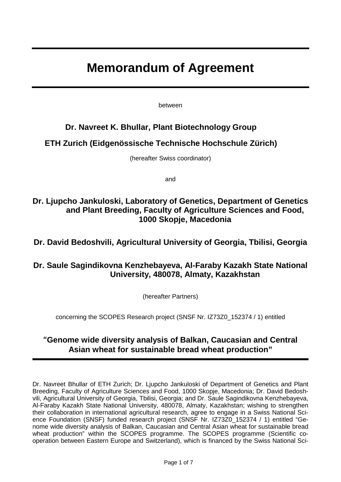# **Memorandum of Agreement**

between

### **Dr. Navreet K. Bhullar, Plant Biotechnology Group**

### **ETH Zurich (Eidgenössische Technische Hochschule Zürich)**

(hereafter Swiss coordinator)

and

### **Dr. Ljupcho Jankuloski, Laboratory of Genetics, Department of Genetics and Plant Breeding, Faculty of Agriculture Sciences and Food, 1000 Skopje, Macedonia**

### **Dr. David Bedoshvili, Agricultural University of Georgia, Tbilisi, Georgia**

### **Dr. Saule Sagindikovna Kenzhebayeva, Al-Faraby Kazakh State National University, 480078, Almaty, Kazakhstan**

(hereafter Partners)

concerning the SCOPES Research project (SNSF Nr. IZ73Z0\_152374 / 1) entitled

### **"Genome wide diversity analysis of Balkan, Caucasian and Central Asian wheat for sustainable bread wheat production"**

Dr. Navreet Bhullar of ETH Zurich; Dr. Ljupcho Jankuloski of Department of Genetics and Plant Breeding, Faculty of Agriculture Sciences and Food, 1000 Skopje, Macedonia; Dr. David Bedoshvili, Agricultural University of Georgia, Tbilisi, Georgia; and Dr. Saule Sagindikovna Kenzhebayeva, Al-Faraby Kazakh State National University, 480078, Almaty, Kazakhstan; wishing to strengthen their collaboration in international agricultural research, agree to engage in a Swiss National Science Foundation (SNSF) funded research project (SNSF Nr. IZ73Z0\_152374 / 1) entitled "Genome wide diversity analysis of Balkan, Caucasian and Central Asian wheat for sustainable bread wheat production" within the SCOPES programme. The SCOPES programme (Scientific cooperation between Eastern Europe and Switzerland), which is financed by the Swiss National Sci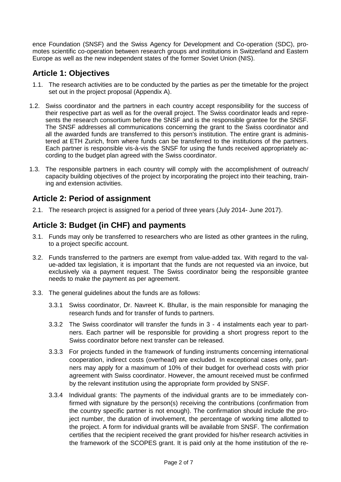ence Foundation (SNSF) and the Swiss Agency for Development and Co-operation (SDC), promotes scientific co-operation between research groups and institutions in Switzerland and Eastern Europe as well as the new independent states of the former Soviet Union (NIS).

### **Article 1: Objectives**

- 1.1. The research activities are to be conducted by the parties as per the timetable for the project set out in the project proposal (Appendix A).
- 1.2. Swiss coordinator and the partners in each country accept responsibility for the success of their respective part as well as for the overall project. The Swiss coordinator leads and represents the research consortium before the SNSF and is the responsible grantee for the SNSF. The SNSF addresses all communications concerning the grant to the Swiss coordinator and all the awarded funds are transferred to this person's institution. The entire grant is administered at ETH Zurich, from where funds can be transferred to the institutions of the partners. Each partner is responsible vis-à-vis the SNSF for using the funds received appropriately according to the budget plan agreed with the Swiss coordinator.
- 1.3. The responsible partners in each country will comply with the accomplishment of outreach/ capacity building objectives of the project by incorporating the project into their teaching, training and extension activities.

### **Article 2: Period of assignment**

2.1. The research project is assigned for a period of three years (July 2014- June 2017).

### **Article 3: Budget (in CHF) and payments**

- 3.1. Funds may only be transferred to researchers who are listed as other grantees in the ruling, to a project specific account.
- 3.2. Funds transferred to the partners are exempt from value-added tax. With regard to the value-added tax legislation, it is important that the funds are not requested via an invoice, but exclusively via a payment request. The Swiss coordinator being the responsible grantee needs to make the payment as per agreement.
- 3.3. The general guidelines about the funds are as follows:
	- 3.3.1 Swiss coordinator, Dr. Navreet K. Bhullar, is the main responsible for managing the research funds and for transfer of funds to partners.
	- 3.3.2 The Swiss coordinator will transfer the funds in 3 4 instalments each year to partners. Each partner will be responsible for providing a short progress report to the Swiss coordinator before next transfer can be released.
	- 3.3.3 For projects funded in the framework of funding instruments concerning international cooperation, indirect costs (overhead) are excluded. In exceptional cases only, partners may apply for a maximum of 10% of their budget for overhead costs with prior agreement with Swiss coordinator. However, the amount received must be confirmed by the relevant institution using the appropriate form provided by SNSF.
	- 3.3.4 Individual grants: The payments of the individual grants are to be immediately confirmed with signature by the person(s) receiving the contributions (confirmation from the country specific partner is not enough). The confirmation should include the project number, the duration of involvement, the percentage of working time allotted to the project. A form for individual grants will be available from SNSF. The confirmation certifies that the recipient received the grant provided for his/her research activities in the framework of the SCOPES grant. It is paid only at the home institution of the re-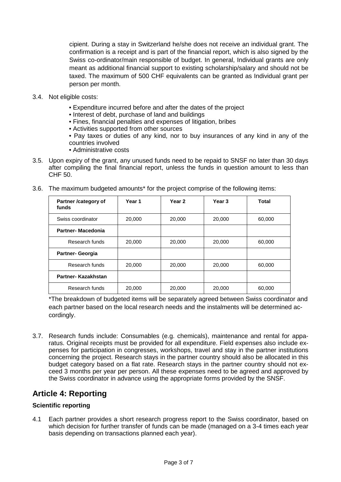cipient. During a stay in Switzerland he/she does not receive an individual grant. The confirmation is a receipt and is part of the financial report, which is also signed by the Swiss co-ordinator/main responsible of budget. In general, Individual grants are only meant as additional financial support to existing scholarship/salary and should not be taxed. The maximum of 500 CHF equivalents can be granted as Individual grant per person per month.

- 3.4. Not eligible costs:
	- Expenditure incurred before and after the dates of the project
	- Interest of debt, purchase of land and buildings
	- Fines, financial penalties and expenses of litigation, bribes
	- Activities supported from other sources
	- Pay taxes or duties of any kind, nor to buy insurances of any kind in any of the countries involved
	- Administrative costs
- 3.5. Upon expiry of the grant, any unused funds need to be repaid to SNSF no later than 30 days after compiling the final financial report, unless the funds in question amount to less than CHF 50.

| Partner /category of<br>funds | Year 1 | Year 2 | Year <sub>3</sub> | <b>Total</b> |
|-------------------------------|--------|--------|-------------------|--------------|
| Swiss coordinator             | 20,000 | 20,000 | 20,000            | 60,000       |
| <b>Partner-Macedonia</b>      |        |        |                   |              |
| Research funds                | 20,000 | 20,000 | 20,000            | 60,000       |
| <b>Partner- Georgia</b>       |        |        |                   |              |
| Research funds                | 20,000 | 20,000 | 20,000            | 60,000       |
| Partner- Kazakhstan           |        |        |                   |              |
| Research funds                | 20,000 | 20,000 | 20,000            | 60,000       |

3.6. The maximum budgeted amounts\* for the project comprise of the following items:

\*The breakdown of budgeted items will be separately agreed between Swiss coordinator and each partner based on the local research needs and the instalments will be determined accordingly.

3.7. Research funds include: Consumables (e.g. chemicals), maintenance and rental for apparatus. Original receipts must be provided for all expenditure. Field expenses also include expenses for participation in congresses, workshops, travel and stay in the partner institutions concerning the project. Research stays in the partner country should also be allocated in this budget category based on a flat rate. Research stays in the partner country should not exceed 3 months per year per person. All these expenses need to be agreed and approved by the Swiss coordinator in advance using the appropriate forms provided by the SNSF.

### **Article 4: Reporting**

#### **Scientific reporting**

4.1 Each partner provides a short research progress report to the Swiss coordinator, based on which decision for further transfer of funds can be made (managed on a 3-4 times each year basis depending on transactions planned each year).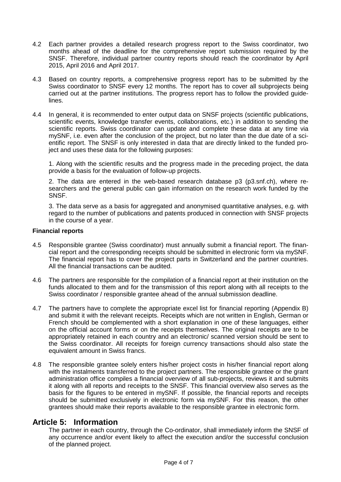- 4.2 Each partner provides a detailed research progress report to the Swiss coordinator, two months ahead of the deadline for the comprehensive report submission required by the SNSF. Therefore, individual partner country reports should reach the coordinator by April 2015, April 2016 and April 2017.
- 4.3 Based on country reports, a comprehensive progress report has to be submitted by the Swiss coordinator to SNSF every 12 months. The report has to cover all subprojects being carried out at the partner institutions. The progress report has to follow the provided guidelines.
- 4.4 In general, it is recommended to enter output data on SNSF projects (scientific publications, scientific events, knowledge transfer events, collaborations, etc.) in addition to sending the scientific reports. Swiss coordinator can update and complete these data at any time via mySNF, i.e. even after the conclusion of the project, but no later than the due date of a scientific report. The SNSF is only interested in data that are directly linked to the funded project and uses these data for the following purposes:

1. Along with the scientific results and the progress made in the preceding project, the data provide a basis for the evaluation of follow-up projects.

2. The data are entered in the web-based research database p3 (p3.snf.ch), where researchers and the general public can gain information on the research work funded by the SNSF.

3. The data serve as a basis for aggregated and anonymised quantitative analyses, e.g. with regard to the number of publications and patents produced in connection with SNSF projects in the course of a year.

#### **Financial reports**

- 4.5 Responsible grantee (Swiss coordinator) must annually submit a financial report. The financial report and the corresponding receipts should be submitted in electronic form via mySNF. The financial report has to cover the project parts in Switzerland and the partner countries. All the financial transactions can be audited.
- 4.6 The partners are responsible for the compilation of a financial report at their institution on the funds allocated to them and for the transmission of this report along with all receipts to the Swiss coordinator / responsible grantee ahead of the annual submission deadline.
- 4.7 The partners have to complete the appropriate excel list for financial reporting (Appendix B) and submit it with the relevant receipts. Receipts which are not written in English, German or French should be complemented with a short explanation in one of these languages, either on the official account forms or on the receipts themselves. The original receipts are to be appropriately retained in each country and an electronic/ scanned version should be sent to the Swiss coordinator. All receipts for foreign currency transactions should also state the equivalent amount in Swiss francs.
- 4.8 The responsible grantee solely enters his/her project costs in his/her financial report along with the instalments transferred to the project partners. The responsible grantee or the grant administration office compiles a financial overview of all sub-projects, reviews it and submits it along with all reports and receipts to the SNSF. This financial overview also serves as the basis for the figures to be entered in mySNF. If possible, the financial reports and receipts should be submitted exclusively in electronic form via mySNF. For this reason, the other grantees should make their reports available to the responsible grantee in electronic form.

#### **Article 5: Information**

The partner in each country, through the Co-ordinator, shall immediately inform the SNSF of any occurrence and/or event likely to affect the execution and/or the successful conclusion of the planned project.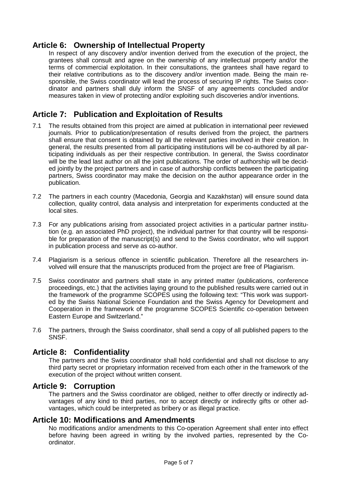### **Article 6: Ownership of Intellectual Property**

In respect of any discovery and/or invention derived from the execution of the project, the grantees shall consult and agree on the ownership of any intellectual property and/or the terms of commercial exploitation. In their consultations, the grantees shall have regard to their relative contributions as to the discovery and/or invention made. Being the main responsible, the Swiss coordinator will lead the process of securing IP rights. The Swiss coordinator and partners shall duly inform the SNSF of any agreements concluded and/or measures taken in view of protecting and/or exploiting such discoveries and/or inventions.

### **Article 7: Publication and Exploitation of Results**

- 7.1 The results obtained from this project are aimed at publication in international peer reviewed journals. Prior to publication/presentation of results derived from the project, the partners shall ensure that consent is obtained by all the relevant parties involved in their creation. In general, the results presented from all participating institutions will be co-authored by all participating individuals as per their respective contribution. In general, the Swiss coordinator will be the lead last author on all the joint publications. The order of authorship will be decided jointly by the project partners and in case of authorship conflicts between the participating partners, Swiss coordinator may make the decision on the author appearance order in the publication.
- 7.2 The partners in each country (Macedonia, Georgia and Kazakhstan) will ensure sound data collection, quality control, data analysis and interpretation for experiments conducted at the local sites.
- 7.3 For any publications arising from associated project activities in a particular partner institution (e.g. an associated PhD project), the individual partner for that country will be responsible for preparation of the manuscript(s) and send to the Swiss coordinator, who will support in publication process and serve as co-author.
- 7.4 Plagiarism is a serious offence in scientific publication. Therefore all the researchers involved will ensure that the manuscripts produced from the project are free of Plagiarism.
- 7.5 Swiss coordinator and partners shall state in any printed matter (publications, conference proceedings, etc.) that the activities laying ground to the published results were carried out in the framework of the programme SCOPES using the following text: "This work was supported by the Swiss National Science Foundation and the Swiss Agency for Development and Cooperation in the framework of the programme SCOPES Scientific co-operation between Eastern Europe and Switzerland."
- 7.6 The partners, through the Swiss coordinator, shall send a copy of all published papers to the SNSF.

### **Article 8: Confidentiality**

The partners and the Swiss coordinator shall hold confidential and shall not disclose to any third party secret or proprietary information received from each other in the framework of the execution of the project without written consent.

### **Article 9: Corruption**

The partners and the Swiss coordinator are obliged, neither to offer directly or indirectly advantages of any kind to third parties, nor to accept directly or indirectly gifts or other advantages, which could be interpreted as bribery or as illegal practice.

### **Article 10: Modifications and Amendments**

No modifications and/or amendments to this Co-operation Agreement shall enter into effect before having been agreed in writing by the involved parties, represented by the Coordinator.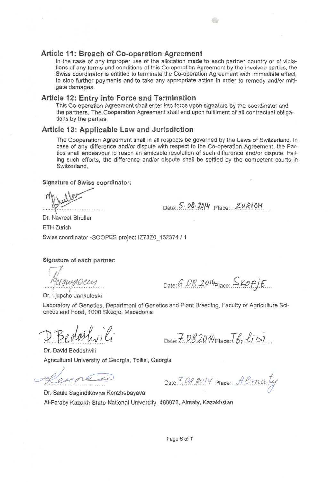tions of any terms and conditions of this Co-operation Agreement by the involved parties, the In the case of any improper use of the allocation made to each partner country or of viola-Swiss coordinator is entitled to terminate the Co-operation Agreement with immediate effect. to stop further payments and to take any appropriate action in order to remedy and/or mitigate damages.

#### Article 12: Entry into Force and Termination

This Co-operation Agreement shall enter into force upon signature by the coordinator and the partners. The Cooperation Agreement shall end upon fulfilment of all contractual obligations by the parties.

#### **Article 13: Applicable Law and Jurisdiction**

The Cooperation Agreement shall in all respects be governed by the Laws of Switzerland. In case of any difference and/or dispute with respect to the Co-operation Agreement, the Parties shall endeayour to reach an amicable resolution of such difference and/or dispute. Failing such efforts, the difference and/or dispute shall be settled by the competent courts in<br>Switzerland

#### **Slanature of Swiss coordinator:**

 $Date: 5.08.2014$  Place:  $ZURICH$ 

a.

Dr. Navreet Bhullar **ЕТН Zurich** Swiss coordinator -SCOPES prolect IZ73Z0 152374 / 1

Signature of each partner:

Date: 6.08.2014 Place:  $S_{KOP}/E$ 

Dr. Ljupcho Jankuloski

Laboratory of Genetics, Department of Genetics and Plant Breeding, Faculty of Agriculture Sciences and Food, 1000 Skopje, Macedonia

Date:  $7.0820$  / Place:  $\overline{b}$ ,  $\overline{t}$   $\overline{c}$ )

Dr. David Bedoshvili Agricultural University of Georgia, Tbilisi, Georgia

exercice

Date:  $7.08.2014$  Place:  $\text{Ham}_{4}$ 

Dr. Saule Sagindikovna Kenzhebayeva Al-Faraby Kazakh State National University, 480078, Almaty, Kazakhstan